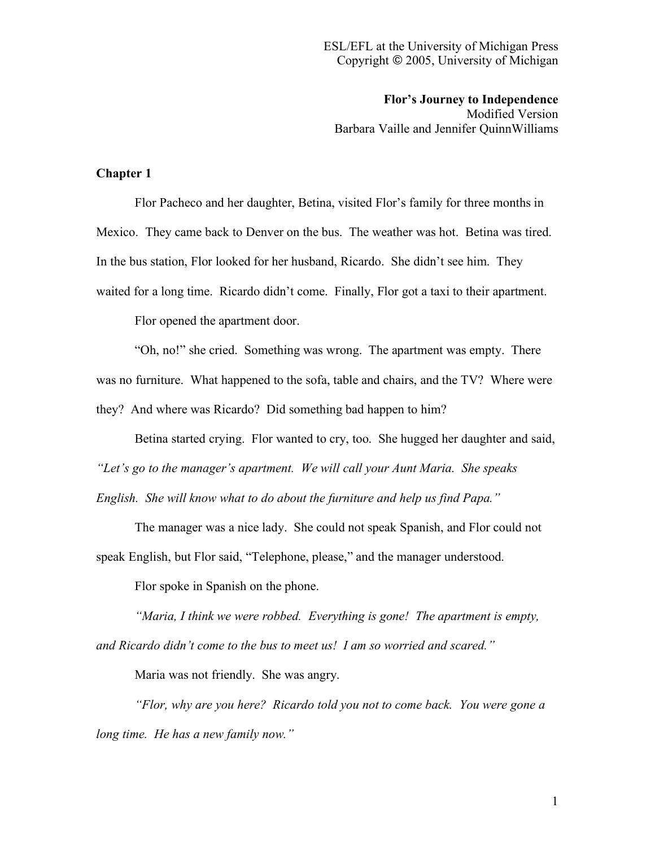**Flor's Journey to Independence** Modified Version Barbara Vaille and Jennifer QuinnWilliams

## **Chapter 1**

Flor Pacheco and her daughter, Betina, visited Flor's family for three months in Mexico. They came back to Denver on the bus. The weather was hot. Betina was tired. In the bus station, Flor looked for her husband, Ricardo. She didn't see him. They waited for a long time. Ricardo didn't come. Finally, Flor got a taxi to their apartment.

Flor opened the apartment door.

"Oh, no!" she cried. Something was wrong. The apartment was empty. There was no furniture. What happened to the sofa, table and chairs, and the TV? Where were they? And where was Ricardo? Did something bad happen to him?

Betina started crying. Flor wanted to cry, too. She hugged her daughter and said, *"Let's go to the manager's apartment. We will call your Aunt Maria. She speaks English. She will know what to do about the furniture and help us find Papa."*

The manager was a nice lady. She could not speak Spanish, and Flor could not

speak English, but Flor said, "Telephone, please," and the manager understood.

Flor spoke in Spanish on the phone.

*"Maria, I think we were robbed. Everything is gone! The apartment is empty, and Ricardo didn't come to the bus to meet us! I am so worried and scared."*

Maria was not friendly. She was angry.

*"Flor, why are you here? Ricardo told you not to come back. You were gone a long time. He has a new family now."*